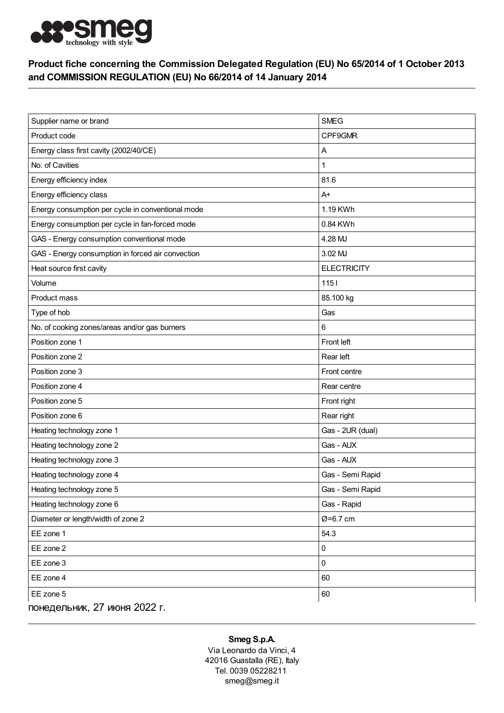

## Product fiche concerning the Commission Delegated Regulation (EU) No 65/2014 of 1 October 2013 and COMMISSION REGULATION (EU) No 66/2014 of 14 January 2014

| Supplier name or brand                            | <b>SMEG</b>        |
|---------------------------------------------------|--------------------|
| Product code                                      | CPF9GMR            |
| Energy class first cavity (2002/40/CE)            | Α                  |
| No. of Cavities                                   | 1                  |
| Energy efficiency index                           | 81.6               |
| Energy efficiency class                           | $A+$               |
| Energy consumption per cycle in conventional mode | 1.19 KWh           |
| Energy consumption per cycle in fan-forced mode   | 0.84 KWh           |
| GAS - Energy consumption conventional mode        | 4.28 MJ            |
| GAS - Energy consumption in forced air convection | 3.02 MJ            |
| Heat source first cavity                          | <b>ELECTRICITY</b> |
| Volume                                            | $1151$             |
| Product mass                                      | 85.100 kg          |
| Type of hob                                       | Gas                |
| No. of cooking zones/areas and/or gas burners     | 6                  |
| Position zone 1                                   | Front left         |
| Position zone 2                                   | Rear left          |
| Position zone 3                                   | Front centre       |
| Position zone 4                                   | Rear centre        |
| Position zone 5                                   | Front right        |
| Position zone 6                                   | Rear right         |
| Heating technology zone 1                         | Gas - 2UR (dual)   |
| Heating technology zone 2                         | Gas - AUX          |
| Heating technology zone 3                         | Gas - AUX          |
| Heating technology zone 4                         | Gas - Semi Rapid   |
| Heating technology zone 5                         | Gas - Semi Rapid   |
| Heating technology zone 6                         | Gas - Rapid        |
| Diameter or length/width of zone 2                | Ø=6.7 cm           |
| EE zone 1                                         | 54.3               |
| EE zone 2                                         | 0                  |
| EE zone 3                                         | 0                  |
| EE zone 4                                         | 60                 |
| EE zone 5                                         | 60                 |
| понедельник, 27 июня 2022 г.                      |                    |

## Smeg S.p.A.

Via Leonardo da Vinci, 4 42016 Guastalla (RE), Italy Tel. 0039 05228211 smeg@smeg.it